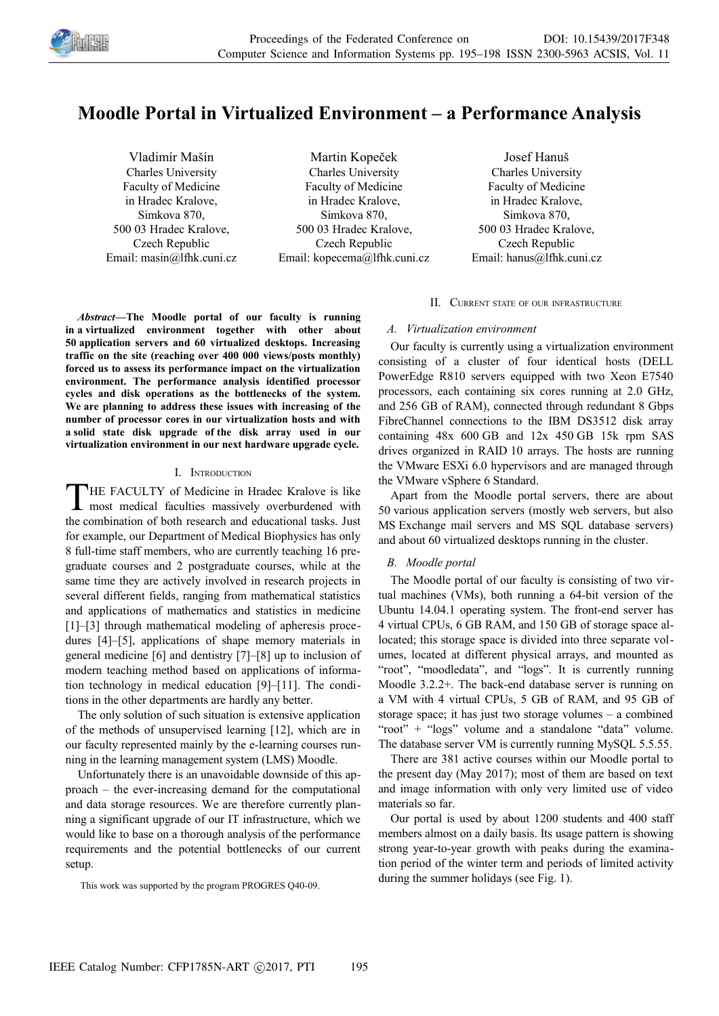

# **Moodle Portal in Virtualized Environment – a Performance Analysis**

Vladimír Mašín Charles University Faculty of Medicine in Hradec Kralove, Simkova 870, 500 03 Hradec Kralove, Czech Republic Email: masin@lfhk.cuni.cz

Martin Kopeček Charles University Faculty of Medicine in Hradec Kralove, Simkova 870, 500 03 Hradec Kralove, Czech Republic Email: kopecema@lfhk.cuni.cz

Josef Hanuš Charles University Faculty of Medicine in Hradec Kralove, Simkova 870, 500 03 Hradec Kralove, Czech Republic Email: hanus@lfhk.cuni.cz

*Abstract—***The Moodle portal of our faculty is running in a virtualized environment together with other about 50 application servers and 60 virtualized desktops. Increasing traffic on the site (reaching over 400 000 views/posts monthly) forced us to assess its performance impact on the virtualization environment. The performance analysis identified processor cycles and disk operations as the bottlenecks of the system. We are planning to address these issues with increasing of the number of processor cores in our virtualization hosts and with a solid state disk upgrade of the disk array used in our virtualization environment in our next hardware upgrade cycle.**

#### I. INTRODUCTION

HE FACULTY of Medicine in Hradec Kralove is like THE FACULTY of Medicine in Hradec Kralove is like<br>most medical faculties massively overburdened with the combination of both research and educational tasks. Just for example, our Department of Medical Biophysics has only 8 full-time staff members, who are currently teaching 16 pregraduate courses and 2 postgraduate courses, while at the same time they are actively involved in research projects in several different fields, ranging from mathematical statistics and applications of mathematics and statistics in medicine [1]–[3] through mathematical modeling of apheresis procedures [4]–[5], applications of shape memory materials in general medicine [6] and dentistry [7]–[8] up to inclusion of modern teaching method based on applications of information technology in medical education [9]–[11]. The conditions in the other departments are hardly any better.

The only solution of such situation is extensive application of the methods of unsupervised learning [12], which are in our faculty represented mainly by the e-learning courses running in the learning management system (LMS) Moodle.

Unfortunately there is an unavoidable downside of this approach – the ever-increasing demand for the computational and data storage resources. We are therefore currently planning a significant upgrade of our IT infrastructure, which we would like to base on a thorough analysis of the performance requirements and the potential bottlenecks of our current setup.

This work was supported by the program PROGRES Q40-09.

## II. CURRENT STATE OF OUR INFRASTRUCTURE

#### *A. Virtualization environment*

Our faculty is currently using a virtualization environment consisting of a cluster of four identical hosts (DELL PowerEdge R810 servers equipped with two Xeon E7540 processors, each containing six cores running at 2.0 GHz, and 256 GB of RAM), connected through redundant 8 Gbps FibreChannel connections to the IBM DS3512 disk array containing 48x 600 GB and 12x 450 GB 15k rpm SAS drives organized in RAID 10 arrays. The hosts are running the VMware ESXi 6.0 hypervisors and are managed through the VMware vSphere 6 Standard.

Apart from the Moodle portal servers, there are about 50 various application servers (mostly web servers, but also MS Exchange mail servers and MS SQL database servers) and about 60 virtualized desktops running in the cluster.

# *B. Moodle portal*

The Moodle portal of our faculty is consisting of two virtual machines (VMs), both running a 64-bit version of the Ubuntu 14.04.1 operating system. The front-end server has 4 virtual CPUs, 6 GB RAM, and 150 GB of storage space allocated; this storage space is divided into three separate volumes, located at different physical arrays, and mounted as "root", "moodledata", and "logs". It is currently running Moodle 3.2.2+. The back-end database server is running on a VM with 4 virtual CPUs, 5 GB of RAM, and 95 GB of storage space; it has just two storage volumes – a combined "root" + "logs" volume and a standalone "data" volume. The database server VM is currently running MySQL 5.5.55.

There are 381 active courses within our Moodle portal to the present day (May 2017); most of them are based on text and image information with only very limited use of video materials so far.

Our portal is used by about 1200 students and 400 staff members almost on a daily basis. Its usage pattern is showing strong year-to-year growth with peaks during the examination period of the winter term and periods of limited activity during the summer holidays (see Fig. 1).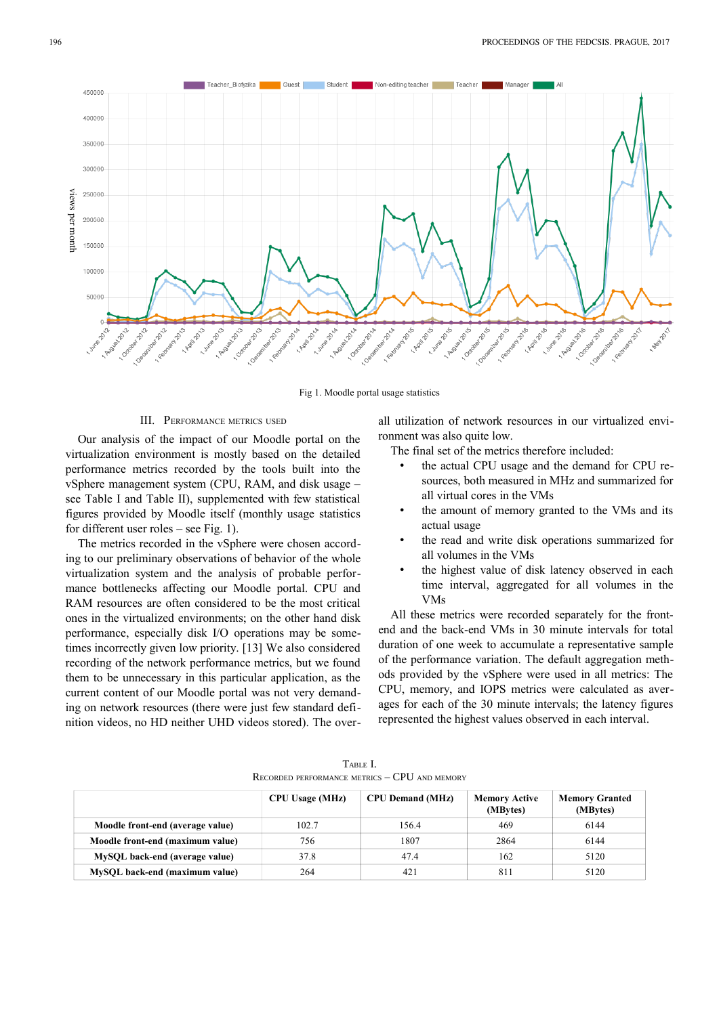

Fig 1. Moodle portal usage statistics

## III. PERFORMANCE METRICS USED

Our analysis of the impact of our Moodle portal on the virtualization environment is mostly based on the detailed performance metrics recorded by the tools built into the vSphere management system (CPU, RAM, and disk usage – see Table I and Table II), supplemented with few statistical figures provided by Moodle itself (monthly usage statistics for different user roles – see Fig. 1).

The metrics recorded in the vSphere were chosen according to our preliminary observations of behavior of the whole virtualization system and the analysis of probable performance bottlenecks affecting our Moodle portal. CPU and RAM resources are often considered to be the most critical ones in the virtualized environments; on the other hand disk performance, especially disk I/O operations may be sometimes incorrectly given low priority. [13] We also considered recording of the network performance metrics, but we found them to be unnecessary in this particular application, as the current content of our Moodle portal was not very demanding on network resources (there were just few standard definition videos, no HD neither UHD videos stored). The overall utilization of network resources in our virtualized environment was also quite low.

The final set of the metrics therefore included:

- the actual CPU usage and the demand for CPU resources, both measured in MHz and summarized for all virtual cores in the VMs
- the amount of memory granted to the VMs and its actual usage
- the read and write disk operations summarized for all volumes in the VMs
- the highest value of disk latency observed in each time interval, aggregated for all volumes in the VMs

All these metrics were recorded separately for the frontend and the back-end VMs in 30 minute intervals for total duration of one week to accumulate a representative sample of the performance variation. The default aggregation methods provided by the vSphere were used in all metrics: The CPU, memory, and IOPS metrics were calculated as averages for each of the 30 minute intervals; the latency figures represented the highest values observed in each interval.

|  | TABLE I.                                           |  |
|--|----------------------------------------------------|--|
|  | $R$ ECORDED PERFORMANCE METRICS $-$ CPU and memory |  |

|                                  | <b>CPU Usage (MHz)</b> | <b>CPU Demand (MHz)</b> | <b>Memory Active</b><br>(MBytes) | <b>Memory Granted</b><br>(MBytes) |
|----------------------------------|------------------------|-------------------------|----------------------------------|-----------------------------------|
| Moodle front-end (average value) | 102.7                  | 156.4                   | 469                              | 6144                              |
| Moodle front-end (maximum value) | 756                    | 1807                    | 2864                             | 6144                              |
| MySQL back-end (average value)   | 37.8                   | 47.4                    | 162                              | 5120                              |
| MySQL back-end (maximum value)   | 264                    | 421                     | 811                              | 5120                              |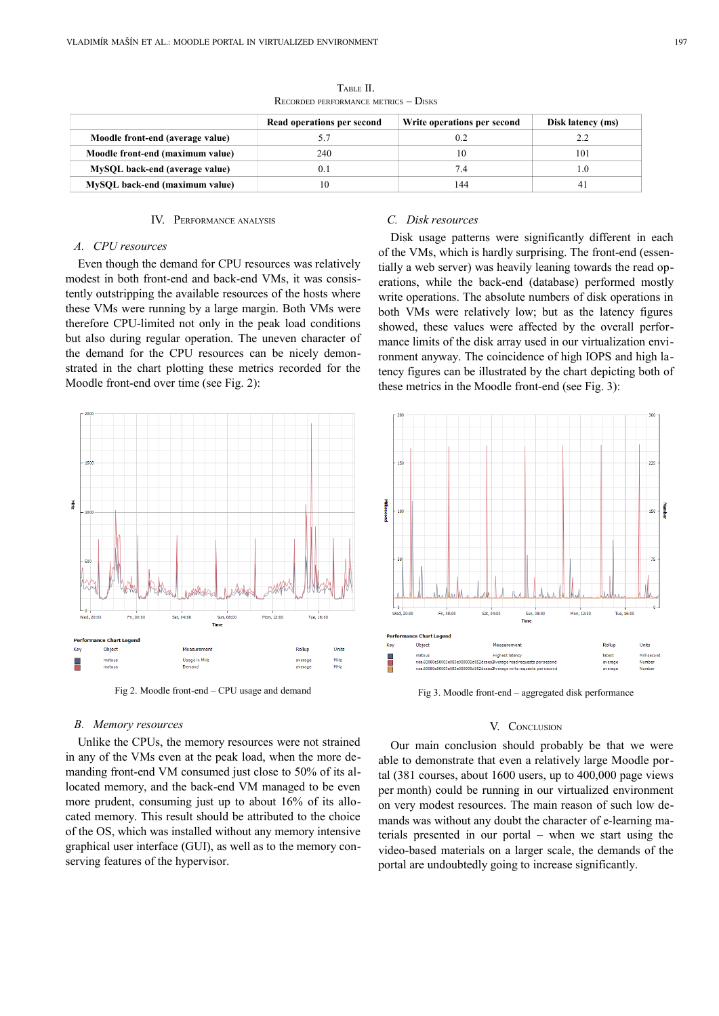|                                  | Read operations per second | Write operations per second | Disk latency (ms) |
|----------------------------------|----------------------------|-----------------------------|-------------------|
| Moodle front-end (average value) |                            |                             |                   |
| Moodle front-end (maximum value) | 240                        |                             | 101               |
| MySQL back-end (average value)   |                            | 74                          |                   |
| MySQL back-end (maximum value)   |                            | 144                         |                   |

TABLE II. RECORDED PERFORMANCE METRICS – DISKS

#### IV. PERFORMANCE ANALYSIS

### *A. CPU resources*

Even though the demand for CPU resources was relatively modest in both front-end and back-end VMs, it was consistently outstripping the available resources of the hosts where these VMs were running by a large margin. Both VMs were therefore CPU-limited not only in the peak load conditions but also during regular operation. The uneven character of the demand for the CPU resources can be nicely demonstrated in the chart plotting these metrics recorded for the Moodle front-end over time (see Fig. 2):



Fig 2. Moodle front-end – CPU usage and demand Fig 3. Moodle front-end – aggregated disk performance

## *B. Memory resources*

Unlike the CPUs, the memory resources were not strained in any of the VMs even at the peak load, when the more demanding front-end VM consumed just close to 50% of its allocated memory, and the back-end VM managed to be even more prudent, consuming just up to about 16% of its allocated memory. This result should be attributed to the choice of the OS, which was installed without any memory intensive graphical user interface (GUI), as well as to the memory conserving features of the hypervisor.

# *C. Disk resources*

Disk usage patterns were significantly different in each of the VMs, which is hardly surprising. The front-end (essentially a web server) was heavily leaning towards the read operations, while the back-end (database) performed mostly write operations. The absolute numbers of disk operations in both VMs were relatively low; but as the latency figures showed, these values were affected by the overall performance limits of the disk array used in our virtualization environment anyway. The coincidence of high IOPS and high latency figures can be illustrated by the chart depicting both of these metrics in the Moodle front-end (see Fig. 3):



#### V. CONCLUSION

Our main conclusion should probably be that we were able to demonstrate that even a relatively large Moodle portal (381 courses, about 1600 users, up to 400,000 page views per month) could be running in our virtualized environment on very modest resources. The main reason of such low demands was without any doubt the character of e-learning materials presented in our portal – when we start using the video-based materials on a larger scale, the demands of the portal are undoubtedly going to increase significantly.